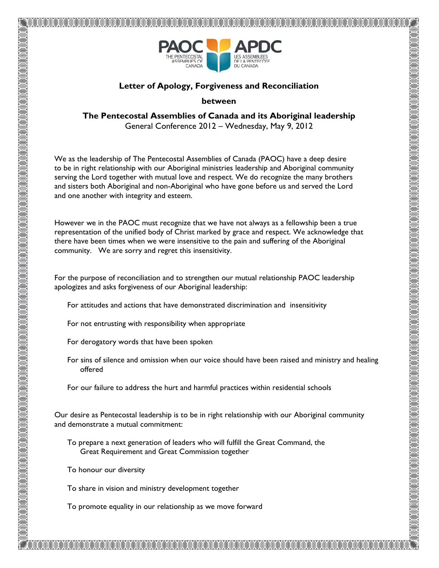

## **Letter of Apology, Forgiveness and Reconciliation**

## **between**

**The Pentecostal Assemblies of Canada and its Aboriginal leadership** General Conference 2012 – Wednesday, May 9, 2012

We as the leadership of The Pentecostal Assemblies of Canada (PAOC) have a deep desire to be in right relationship with our Aboriginal ministries leadership and Aboriginal community serving the Lord together with mutual love and respect. We do recognize the many brothers and sisters both Aboriginal and non-Aboriginal who have gone before us and served the Lord and one another with integrity and esteem.

However we in the PAOC must recognize that we have not always as a fellowship been a true representation of the unified body of Christ marked by grace and respect. We acknowledge that there have been times when we were insensitive to the pain and suffering of the Aboriginal community. We are sorry and regret this insensitivity.

For the purpose of reconciliation and to strengthen our mutual relationship PAOC leadership apologizes and asks forgiveness of our Aboriginal leadership:

- For attitudes and actions that have demonstrated discrimination and insensitivity
- For not entrusting with responsibility when appropriate
- For derogatory words that have been spoken
- For sins of silence and omission when our voice should have been raised and ministry and healing offered
- For our failure to address the hurt and harmful practices within residential schools

Our desire as Pentecostal leadership is to be in right relationship with our Aboriginal community and demonstrate a mutual commitment:

- To prepare a next generation of leaders who will fulfill the Great Command, the Great Requirement and Great Commission together
- To honour our diversity
- To share in vision and ministry development together

na arana amarana amarana amar

To promote equality in our relationship as we move forward